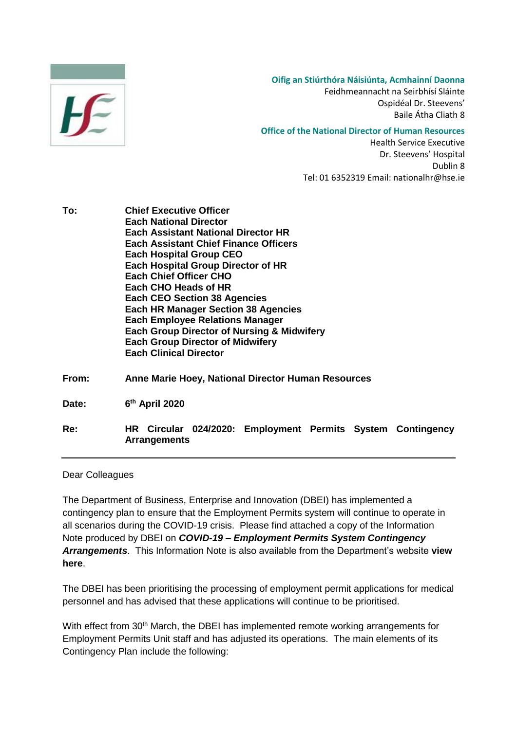

**Oifig an Stiúrthóra Náisiúnta, Acmhainní Daonna**

Feidhmeannacht na Seirbhísí Sláinte Ospidéal Dr. Steevens' Baile Átha Cliath 8

## **Office of the National Director of Human Resources**

Health Service Executive Dr. Steevens' Hospital Dublin 8 Tel: 01 6352319 Email: nationalhr@hse.ie

| To:   | <b>Chief Executive Officer</b><br><b>Each National Director</b><br><b>Each Assistant National Director HR</b><br><b>Each Assistant Chief Finance Officers</b><br><b>Each Hospital Group CEO</b><br><b>Each Hospital Group Director of HR</b><br><b>Each Chief Officer CHO</b><br><b>Each CHO Heads of HR</b><br><b>Each CEO Section 38 Agencies</b><br><b>Each HR Manager Section 38 Agencies</b><br><b>Each Employee Relations Manager</b><br><b>Each Group Director of Nursing &amp; Midwifery</b><br><b>Each Group Director of Midwifery</b><br><b>Each Clinical Director</b> |
|-------|----------------------------------------------------------------------------------------------------------------------------------------------------------------------------------------------------------------------------------------------------------------------------------------------------------------------------------------------------------------------------------------------------------------------------------------------------------------------------------------------------------------------------------------------------------------------------------|
| From: | Anne Marie Hoey, National Director Human Resources                                                                                                                                                                                                                                                                                                                                                                                                                                                                                                                               |
| Date: | 6 <sup>th</sup> April 2020                                                                                                                                                                                                                                                                                                                                                                                                                                                                                                                                                       |
| Re:   | <b>HR</b> Circular<br>024/2020: Employment Permits System<br>Contingency                                                                                                                                                                                                                                                                                                                                                                                                                                                                                                         |

Dear Colleagues

**Arrangements**

The Department of Business, Enterprise and Innovation (DBEI) has implemented a contingency plan to ensure that the Employment Permits system will continue to operate in all scenarios during the COVID-19 crisis. Please find attached a copy of the Information Note produced by DBEI on *COVID-19 – Employment Permits System Contingency Arrangements*. This Information Note is also available from the Department's website **[view](https://dbei.gov.ie/en/Publications/COVID-19-Employment-Permits-System-Contingency-Arrangements.html)  [here](https://dbei.gov.ie/en/Publications/COVID-19-Employment-Permits-System-Contingency-Arrangements.html)**.

The DBEI has been prioritising the processing of employment permit applications for medical personnel and has advised that these applications will continue to be prioritised.

With effect from 30<sup>th</sup> March, the DBEI has implemented remote working arrangements for Employment Permits Unit staff and has adjusted its operations. The main elements of its Contingency Plan include the following: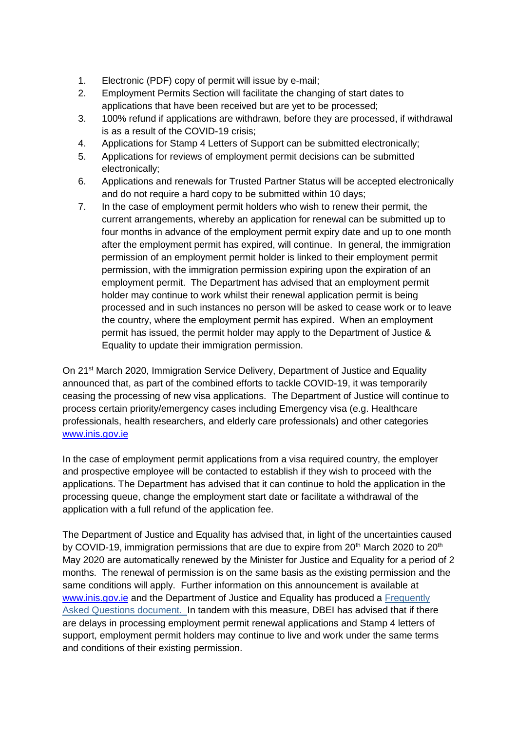- 1. Electronic (PDF) copy of permit will issue by e-mail;
- 2. Employment Permits Section will facilitate the changing of start dates to applications that have been received but are yet to be processed;
- 3. 100% refund if applications are withdrawn, before they are processed, if withdrawal is as a result of the COVID-19 crisis;
- 4. Applications for Stamp 4 Letters of Support can be submitted electronically;
- 5. Applications for reviews of employment permit decisions can be submitted electronically;
- 6. Applications and renewals for Trusted Partner Status will be accepted electronically and do not require a hard copy to be submitted within 10 days;
- 7. In the case of employment permit holders who wish to renew their permit, the current arrangements, whereby an application for renewal can be submitted up to four months in advance of the employment permit expiry date and up to one month after the employment permit has expired, will continue. In general, the immigration permission of an employment permit holder is linked to their employment permit permission, with the immigration permission expiring upon the expiration of an employment permit. The Department has advised that an employment permit holder may continue to work whilst their renewal application permit is being processed and in such instances no person will be asked to cease work or to leave the country, where the employment permit has expired. When an employment permit has issued, the permit holder may apply to the Department of Justice & Equality to update their immigration permission.

On 21<sup>st</sup> March 2020, Immigration Service Delivery, Department of Justice and Equality announced that, as part of the combined efforts to tackle COVID-19, it was temporarily ceasing the processing of new visa applications. The Department of Justice will continue to process certain priority/emergency cases including Emergency visa (e.g. Healthcare professionals, health researchers, and elderly care professionals) and other categories [www.inis.gov.ie](http://www.inis.gov.ie/)

In the case of employment permit applications from a visa required country, the employer and prospective employee will be contacted to establish if they wish to proceed with the applications. The Department has advised that it can continue to hold the application in the processing queue, change the employment start date or facilitate a withdrawal of the application with a full refund of the application fee.

The Department of Justice and Equality has advised that, in light of the uncertainties caused by COVID-19, immigration permissions that are due to expire from  $20<sup>th</sup>$  March 2020 to  $20<sup>th</sup>$ May 2020 are automatically renewed by the Minister for Justice and Equality for a period of 2 months. The renewal of permission is on the same basis as the existing permission and the same conditions will apply. Further information on this announcement is available at [www.inis.gov.ie](http://www.inis.gov.ie/) and the Department of Justice and Equality has produced a [Frequently](http://www.inis.gov.ie/en/INIS/frequently-asked-questions-immigration-permission-covid-19-temporary-measures.pdf/Files/frequently-asked-questions-immigration-permission-covid-19-temporary-measures.pdf) Asked Questions [document.](http://www.inis.gov.ie/en/INIS/frequently-asked-questions-immigration-permission-covid-19-temporary-measures.pdf/Files/frequently-asked-questions-immigration-permission-covid-19-temporary-measures.pdf) In tandem with this measure, DBEI has advised that if there are delays in processing employment permit renewal applications and Stamp 4 letters of support, employment permit holders may continue to live and work under the same terms and conditions of their existing permission.